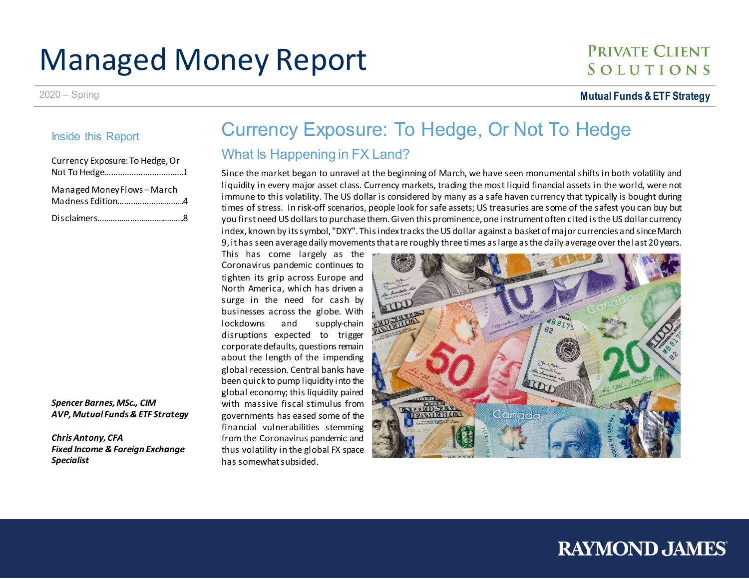# Managed Money Report

**PRIVATE CLIENT** SOLUTIONS

#### 2020 – Spring **Mutual Funds& ETF Strategy**

### Inside this Report

| Currency Exposure: To Hedge, Or                 |
|-------------------------------------------------|
| Managed Money Flows - March<br>Madness Edition4 |
|                                                 |

*Spencer Barnes, MSc., CIM AVP, Mutual Funds & ETF Strategy*

*Chris Antony, CFA Fixed Income & Foreign Exchange Specialist*

# Currency Exposure: To Hedge, Or Not To Hedge What Is Happening in FX Land?

Since the market began to unravel at the beginning of March, we have seen monumental shifts in both volatility and liquidity in every major asset class. Currency markets, trading the most liquid financial assets in the world, were not immune to this volatility. The US dollar is considered by many as a safe haven currency that typically is bought during times of stress. In risk-off scenarios, people look for safe assets; US treasuries are some of the safest you can buy but you first need US dollars to purchase them.Given this prominence, one instrument often cited is the US dollar currency index, known by its symbol, "DXY". This index tracks the US dollar against a basket of major currencies and since March 9, it has seen average daily movements that are roughly three times as large as the daily average over the last 20 years.

This has come largely as the Coronavirus pandemic continues to tighten its grip across Europe and North America, which has driven a surge in the need for cash by businesses across the globe. With lockdowns and supply-chain disruptions expected to trigger corporate defaults, questions remain about the length of the impending global recession. Central banks have been quick to pump liquidity into the global economy; this liquidity paired with massive fiscal stimulus from governments has eased some of the financial vulnerabilities stemming from the Coronavirus pandemic and thus volatility in the global FX space has somewhat subsided.



# **RAYMOND JAMES®**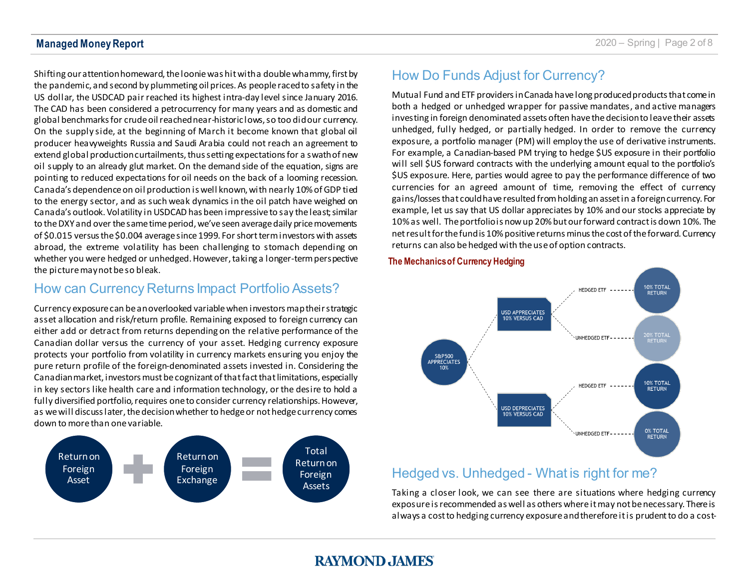Shifting our attention homeward, the loonie was hit with a double whammy, first by the pandemic, and second by plummeting oil prices.As people raced to safety in the US dollar, the USDCAD pair reached its highest intra-day level since January 2016. The CAD has been considered a petrocurrency for many years and as domestic and global benchmarks for crude oil reached near-historic lows, so too did our currency. On the supply side, at the beginning of March it become known that global oil producer heavyweights Russia and Saudi Arabia could not reach an agreement to extend global production curtailments, thus setting expectations for a swath of new oil supply to an already glut market. On the demand side of the equation, signs are pointing to reduced expectations for oil needs on the back of a looming recession. Canada's dependence on oil production is well known, with nearly 10% of GDP tied to the energy sector, and as such weak dynamics in the oil patch have weighed on Canada's outlook. Volatility in USDCAD has been impressive to say the least; similar to the DXY and over the same time period, we've seen average daily price movements of \$0.015 versus the \$0.004 average since 1999. For short term investors with assets abroad, the extreme volatility has been challenging to stomach depending on whether you were hedged or unhedged. However, taking a longer-term perspective the picture may not beso bleak.

## How can Currency Returns Impact Portfolio Assets?

Currency exposure can be an overlooked variable when investors map their strategic asset allocation and risk/return profile. Remaining exposed to foreign currency can either add or detract from returns depending on the relative performance of the Canadian dollar versus the currency of your asset. Hedging currency exposure protects your portfolio from volatility in currency markets ensuring you enjoy the pure return profile of the foreign-denominated assets invested in. Considering the Canadian market, investors must be cognizant of that fact that limitations, especially in key sectors like health care and information technology, or the desire to hold a fully diversified portfolio, requires one to consider currency relationships. However, as we will discuss later, the decision whether to hedge or not hedge currency comes down to more than one variable.



# How Do Funds Adjust for Currency?

Mutual Fund and ETF providers in Canada have long produced products that come in both a hedged or unhedged wrapper for passive mandates, and active managers investing in foreign denominated assets often have the decision to leave their assets unhedged, fully hedged, or partially hedged. In order to remove the currency exposure, a portfolio manager (PM) will employ the use of derivative instruments. For example, a Canadian-based PM trying to hedge \$US exposure in their portfolio will sell \$US forward contracts with the underlying amount equal to the portfolio's \$US exposure. Here, parties would agree to pay the performance difference of two currencies for an agreed amount of time, removing the effect of currency gains/losses that could have resulted from holding an asset in a foreign currency. For example, let us say that US dollar appreciates by 10% and our stocks appreciate by 10% as well. The portfolio is now up 20% but our forward contract is down 10%. The net result for the fund is 10% positive returns minus the cost of the forward. Currency returns can also be hedged with the use of option contracts.

#### **The Mechanics of Currency Hedging**



# Hedged vs. Unhedged - What is right for me?

Taking a closer look, we can see there are situations where hedging currency exposure is recommended as well as others where it may not be necessary. There is always a cost to hedging currency exposure and therefore it is prudent to do a cost-

# **RAYMOND. JAMES**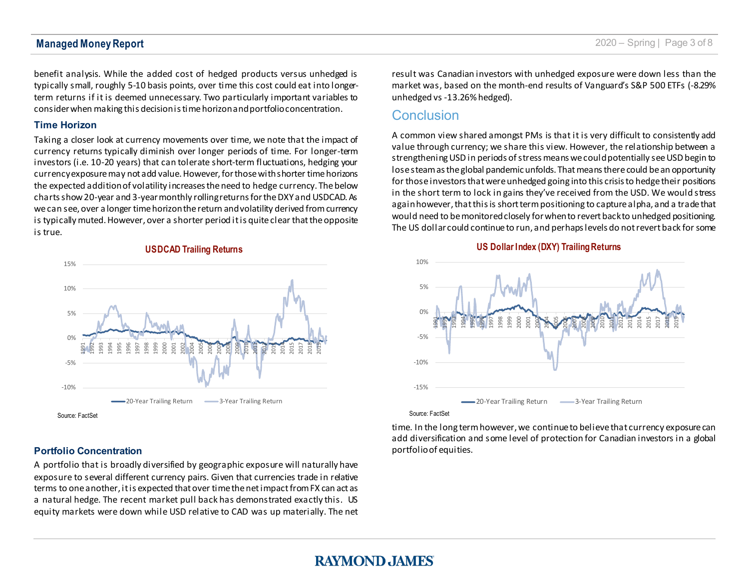benefit analysis. While the added cost of hedged products versus unhedged is typically small, roughly 5-10 basis points, over time this cost could eat into longerterm returns if it is deemed unnecessary. Two particularly important variables to consider when making this decision is time horizon and portfolio concentration.

#### **Time Horizon**

Taking a closer look at currency movements over time, we note that the impact of currency returns typically diminish over longer periods of time. For longer-term investors (i.e. 10-20 years) that can tolerate short-term fluctuations, hedging your currency exposure may not add value. However, for those with shorter time horizons the expected addition of volatility increases the need to hedge currency. The below charts show 20-year and 3-year monthly rolling returns for the DXY and USDCAD. As we can see, over a longer time horizon the return and volatility derived from currency is typically muted. However, over a shorter period it is quite clear that the opposite is true.



#### **USDCAD Trailing Returns**

#### **Portfolio Concentration**

A portfolio that is broadly diversified by geographic exposure will naturally have exposure to several different currency pairs. Given that currencies trade in relative terms to one another, it is expected that over time the net impact from FX can act as a natural hedge. The recent market pull back has demonstrated exactly this. US equity markets were down while USD relative to CAD was up materially. The net

result was Canadian investors with unhedged exposure were down less than the market was, based on the month-end results of Vanguard's S&P 500 ETFs (-8.29% unhedged vs -13.26% hedged).

### **Conclusion**

A common view shared amongst PMs is that it is very difficult to consistently add value through currency; we share this view. However, the relationship between a strengthening USD in periods of stress means wecould potentially see USD begin to lose steam as the global pandemicunfolds. That means there could be an opportunity for those investors that were unhedged going into this crisis to hedge their positions in the short term to lock in gains they've received from the USD. We would stress again however, that this is short term positioning to capture alpha, and a trade that would need to be monitored closely for when to revert back to unhedged positioning. The US dollar could continue to run, and perhaps levels do not revert back for some



#### **US Dollar Index (DXY) Trailing Returns**

Source: FactSet

time. In the long term however, we continue to believe that currency exposure can add diversification and some level of protection for Canadian investors in a global portfolio of equities.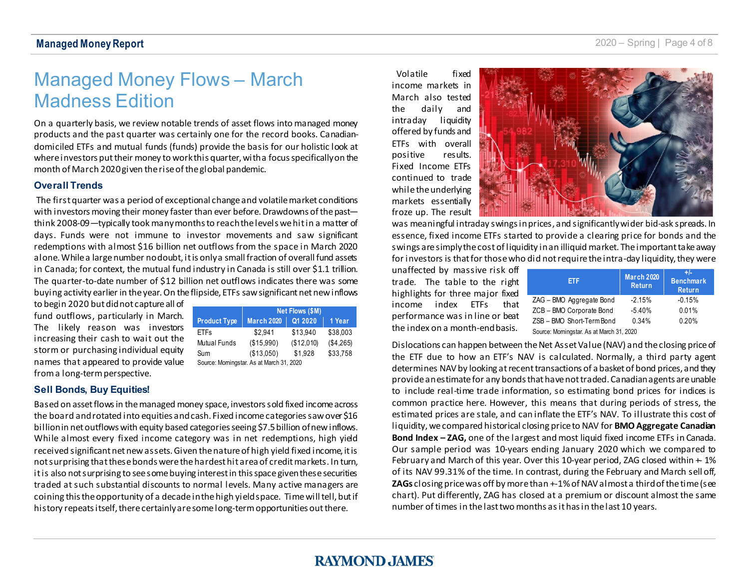# Managed Money Flows – March Madness Edition

On a quarterly basis, we review notable trends of asset flows into managed money products and the past quarter was certainly one for the record books. Canadiandomiciled ETFs and mutual funds (funds) provide the basis for our holistic look at where investors put their money to work this quarter, with a focus specifically on the month of March 2020 given the rise of the global pandemic.

#### **Overall Trends**

The first quarter was a period of exceptional change and volatile market conditions with investors moving their money faster than ever before. Drawdowns of the past think 2008-09—typically took many months to reach the levels we hit in a matter of days. Funds were not immune to investor movements and saw significant redemptions with almost \$16 billion net outflows from the space in March 2020 alone. While a large number no doubt, it is only a small fraction of overall fund assets in Canada; for context, the mutual fund industry in Canada is still over \$1.1 trillion. The quarter-to-date number of \$12 billion net outflows indicates there was some buying activity earlier in the year. On the flipside, ETFs saw significant net new inflows

**Net Flows (\$M)**

**Product Type March 2020 Q1 2020 1 Year** ETFs \$2,941 \$13,940 \$38,003 Mutual Funds (\$15,990) (\$12,010) (\$4,265)

to begin 2020 but did not capture all of fund outflows, particularly in March. The likely reason was investors increasing their cash to wait out the storm or purchasing individual equity names that appear from a long-term po

| ng Individual equity | : Sum | $(13.050)$ $1.928$ $1.33.758$            |  |  |
|----------------------|-------|------------------------------------------|--|--|
| ed to provide value  |       | Source: Momingstar. As at March 31, 2020 |  |  |
| erspective.          |       |                                          |  |  |

#### **Sell Bonds, Buy Equities!**

Based on asset flows in the managed money space, investors sold fixed income across the board and rotated into equities and cash. Fixed income categories saw over \$16 billion in net outflows with equity based categories seeing \$7.5 billion of new inflows. While almost every fixed income category was in net redemptions, high yield received significant net new assets. Given the nature of high yield fixed income, it is not surprising that these bonds were the hardest hit area of credit markets. In turn, itis also not surprising to see some buying interest in this space given these securities traded at such substantial discounts to normal levels. Many active managers are coining this the opportunity of a decade in the high yield space. Time will tell, but if history repeats itself, there certainly are some long-term opportunities out there.

Volatile fixed income markets in March also tested the daily and intraday liquidity offered by funds and ETFs with overall positive results. Fixed Income ETFs continued to trade while the underlying markets essentially froze up. The result



was meaningful intraday swings in prices, and significantly wider bid-ask spreads. In essence, fixed income ETFs started to provide a clearing price for bonds and the swings are simply the cost of liquidity in an illiquid market. The important take away for investors is that for those who did not require the intra-day liquidity, they were

unaffected by massive risk off trade. The table to the right highlights for three major fixed income index ETFs that performance was in line or beat the index on a month-end basis.

| <b>ETF</b>                               | <b>March 2020</b><br><b>Return</b> | <b>Benchmark</b><br><b>Return</b> |
|------------------------------------------|------------------------------------|-----------------------------------|
| ZAG - BMO Aggregate Bond                 | $-2.15%$                           | $-0.15%$                          |
| ZCB - BMO Corporate Bond                 | $-5.40%$                           | 0.01%                             |
| ZSB - BMO Short-Term Bond                | 0.34%                              | 0.20%                             |
| Source: Momingstar. As at March 31, 2020 |                                    |                                   |

Dislocations can happen between the Net Asset Value (NAV) and the closing price of the ETF due to how an ETF's NAV is calculated. Normally, a third party agent determines NAV by looking at recent transactions of a basket of bond prices, and they providean estimate for any bonds that have not traded. Canadian agents are unable to include real-time trade information, so estimating bond prices for indices is common practice here. However, this means that during periods of stress, the estimated prices are stale, and can inflate the ETF's NAV. To illustrate this cost of liquidity,we compared historical closing price to NAV for **BMO Aggregate Canadian Bond Index – ZAG,** one of the largest and most liquid fixed income ETFs in Canada. Our sample period was 10-years ending January 2020 which we compared to February and March of this year. Over this 10-year period, ZAG closed within  $+ 1\%$ of its NAV 99.31% of the time. In contrast, during the February and March sell off, **ZAGs** closing price was off by more than +-1% of NAV almost a third of the time(see chart). Put differently, ZAG has closed at a premium or discount almost the same number of times in the last two months as it has in the last 10 years.

# **RAYMOND, JAMES**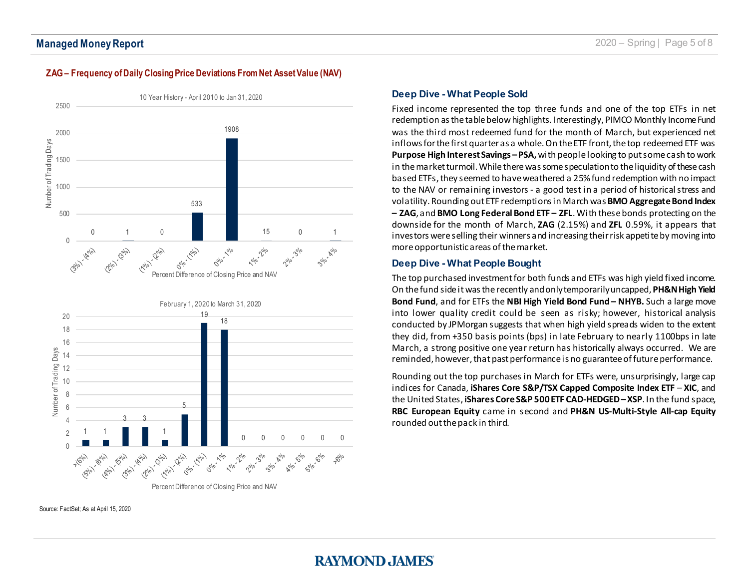#### 10 Year History - April 2010 to Jan 31, 2020 2500 1908 2000 Number of Trading Days Number of Trading Days 1500 1000 533 500 15 0 1 0 1 0 **000 - 1200** 12/07 / 20/07 Percent Difference of Closing Price and NAV<br>Percent Difference of Closing Price and NAV 010-1010 **Nolo-2010**  $2^{6/6}$ .  $3^{6/6}$ 3% Aglo February 1, 2020 to March 31, 202019 20 18 18 16 Days Number of Trading Days 14 Number of Trading 12 10 8 5 6 3 3 4 2 1 1 1 0 0 0 0 0 0  $\theta$ ralloy (Bli (21/0) (21/0) 10/07 00/07 (310) (210) (ello) (allo) Olo (plo) 010 - 1010 **Volo** 2010  $2^{16}$ ,  $3^{16}$ agle be Adlo colo Edlo Calo

#### **ZAG – Frequency of Daily Closing Price Deviations From Net Asset Value (NAV)**

#### Percent Difference of Closing Price and NAV

Source: FactSet; As at April 15, 2020

#### **Deep Dive - What People Sold**

Fixed income represented the top three funds and one of the top ETFs in net redemption as the table below highlights. Interestingly, PIMCO Monthly Income Fund was the third most redeemed fund for the month of March, but experienced net inflows for the first quarter as a whole. On the ETF front, the top redeemed ETF was **Purpose High Interest Savings –PSA,** with people looking to put some cash to work in the market turmoil. While there was some speculation to the liquidity of these cash based ETFs, they seemed to have weathered a 25% fund redemption with no impact to the NAV or remaining investors - a good test in a period of historical stress and volatility. Rounding out ETF redemptions in March was **BMO Aggregate Bond Index – ZAG**, and **BMO Long Federal Bond ETF – ZFL**. With these bonds protecting on the downside for the month of March, **ZAG** (2.15%) and **ZFL** 0.59%, it appears that investors were selling their winners and increasing their risk appetite by moving into more opportunistic areas of the market.

#### **Deep Dive - What People Bought**

The top purchased investment for both funds and ETFs was high yield fixed income. On the fund side it was the recently and only temporarily uncapped, **PH&N High Yield Bond Fund**, and for ETFs the **NBI High Yield Bond Fund – NHYB.** Such a large move into lower quality credit could be seen as risky; however, historical analysis conducted by JPMorgan suggests that when high yield spreads widen to the extent they did, from +350 basis points (bps) in late February to nearly 1100bps in late March, a strong positive one year return has historically always occurred. We are reminded, however, that past performance is no guarantee of future performance.

Rounding out the top purchases in March for ETFs were, unsurprisingly, large cap indices for Canada, **iShares Core S&P/TSX Capped Composite Index ETF** – **XIC**, and the United States, **iShares Core S&P 500 ETF CAD-HEDGED –XSP**. In the fund space, **RBC European Equity** came in second and **PH&N US-Multi-Style All-cap Equity** rounded out the pack in third.

# **RAYMOND, JAMES**

 $7000$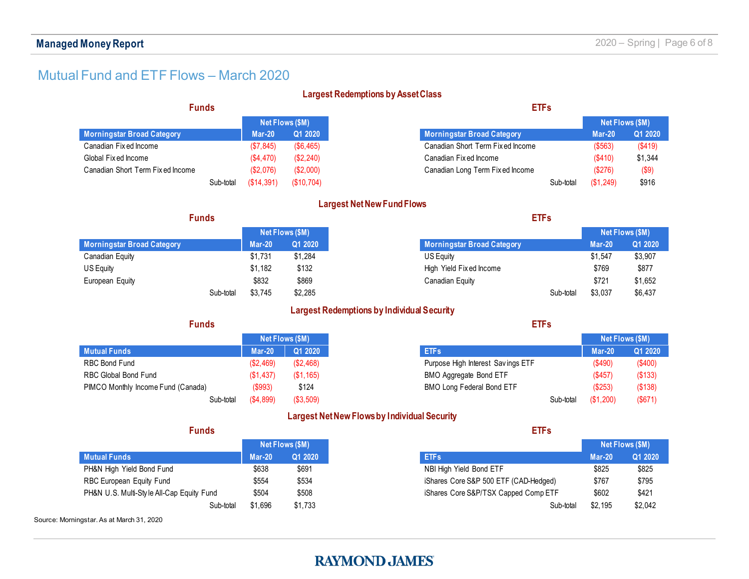# Mutual Fund and ETF Flows – March 2020

|                                  |        | <b>Net Flows (SM)</b> |                                   |
|----------------------------------|--------|-----------------------|-----------------------------------|
| ' Morningstar Broad Category     | Mar-20 |                       | Morningstar Broad Category        |
| Canadian Fix ed Income           |        |                       | Canadian Short Term Fix ed Income |
| Global Fixed Income              |        |                       | Canadian Fixed Income             |
| Canadian Short Term Fixed Income |        |                       | Canadian Long Term Fixed Income   |
|                                  |        |                       |                                   |

### **Net Flows (\$M) Morningstar Broad Category Mar-20 Mar-20 Q1 2020** Canadian Short Term Fix ed Income (\$563) (\$419) Canadian Fix ed Income (\$410) \$1,344 Canadian Long Term Fix ed Income (\$276) (\$9) Sub-total (\$1,249) \$916

#### **Largest Net New Fund Flows**

| <b>Funds</b> |  | <b>ETFs</b> |
|--------------|--|-------------|
|              |  |             |

|                                   | <b>Net Flows (\$M)</b> |         |  |
|-----------------------------------|------------------------|---------|--|
| <b>Morningstar Broad Category</b> | Mar-20                 | Q1 2020 |  |
| Canadian Equity                   | \$1.731                | \$1.284 |  |
| US Equity                         | \$1.182                | \$132   |  |
| European Equity                   | \$832                  | \$869   |  |
| Sub-total                         | \$3.745                | \$2.285 |  |

|                                   |         | Net Flows (\$M) |  |  |
|-----------------------------------|---------|-----------------|--|--|
| <b>Morningstar Broad Category</b> | Mar-20  | Q1 2020         |  |  |
| US Equity                         | \$1.547 | \$3.907         |  |  |
| High Yield Fix ed Income          | \$769   | \$877           |  |  |
| <b>Canadian Equity</b>            | \$721   | \$1.652         |  |  |
| Sub-total                         | \$3.037 | ነና 437          |  |  |

### **Largest Redemptions by Individual Security**

|                                    |           | Net Flows (\$M) |                                   |
|------------------------------------|-----------|-----------------|-----------------------------------|
| Mutual Funds                       | Mar-20    |                 |                                   |
| RBC Bond Fund                      |           |                 | Purpose High Interest Savings ETF |
| <b>RBC Global Bond Fund</b>        |           | (S1.165)        | BMO Aggregate Bond ETF            |
| PIMCO Monthly Income Fund (Canada) |           |                 | BMO Long Federal Bond ETF         |
|                                    | (\$4.899) |                 |                                   |

|                                   |           | <b>Net Flows (\$M)</b> |  |  |
|-----------------------------------|-----------|------------------------|--|--|
| <b>ETFs</b>                       | $Mar-20$  | Q1 2020                |  |  |
| Purpose High Interest Savings ETF | (\$490)   | $($ \$400)             |  |  |
| BMO Aggregate Bond ETF            | (S457)    | (\$133)                |  |  |
| <b>BMO Long Federal Bond ETF</b>  | (S253)    | (S138)                 |  |  |
| Sub-total                         | (\$1,200) |                        |  |  |

#### **Largest Net New Flows by Individual Security**

#### **Funds ETFs**

|                                           | Net Flows (\$M) |         |  |
|-------------------------------------------|-----------------|---------|--|
| <b>Mutual Funds</b>                       | Mar-20          | Q1 2020 |  |
| PH&N High Yield Bond Fund                 | \$638           | \$691   |  |
| RBC European Equity Fund                  | \$554           | \$534   |  |
| PH&N U.S. Multi-Style All-Cap Equity Fund | \$504           | \$508   |  |
| Sub-total                                 | \$1.696         | \$1.733 |  |

Source: Morningstar. As at March 31, 2020

|                                       | Net Flows (\$M) |         |  |
|---------------------------------------|-----------------|---------|--|
| <b>ETFs</b>                           | $Mar-20$        | Q1 2020 |  |
| NBI High Yield Bond ETF               | \$825           | \$825   |  |
| iShares Core S&P 500 ETF (CAD-Hedged) | \$767           | \$795   |  |
| iShares Core S&P/TSX Capped Comp ETF  | \$602           | \$421   |  |
| Sub-total                             | \$2.195         | \$2.042 |  |

# **RAYMOND JAMES**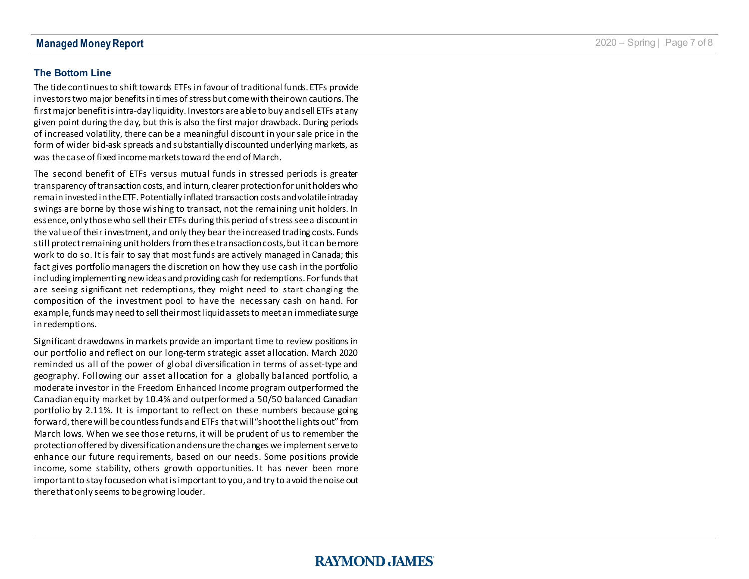#### **Managed Money Report**

#### **The Bottom Line**

The tide continues to shift towards ETFs in favour of traditional funds. ETFs provide investors two major benefits in times of stress but come with their own cautions. The first major benefit is intra-day liquidity. Investors are able to buy and sell ETFs at any given point during the day, but this is also the first major drawback. During periods of increased volatility, there can be a meaningful discount in your sale price in the form of wider bid-ask spreads and substantially discounted underlying markets, as was the case of fixed income markets toward the end of March.

The second benefit of ETFs versus mutual funds in stressed periods is greater transparency of transaction costs, and in turn, clearer protection for unit holders who remain invested in theETF. Potentially inflated transaction costs and volatile intraday swings are borne by those wishing to transact, not the remaining unit holders. In essence, only those who sell their ETFs during this period of stress see a discount in the value of their investment, and only they bear the increased trading costs. Funds still protect remaining unit holders from these transaction costs, but it can be more work to do so. It is fair to say that most funds are actively managed in Canada; this fact gives portfolio managers the discretion on how they use cash in the portfolio including implementing new ideas and providing cash for redemptions. For funds that are seeing significant net redemptions, they might need to start changing the composition of the investment pool to have the necessary cash on hand. For example, funds may need to sell their most liquid assets to meet an immediate surge in redemptions.

Significant drawdowns in markets provide an important time to review positions in our portfolio and reflect on our long -term strategic asset allocation. March 2020 reminded us all of the power of global diversification in terms of asset -type and geography. Following our asset allocation for a globally balanced portfolio, a moderate investor in the Freedom Enhanced Income program outperformed the Canadian equity market by 10.4% and outperformed a 50/50 balanced Canadian portfolio by 2.11%. It is important to reflect on these numbers because going forward, there will be countless funds and ETFs that will "shoot the lights out" from March lows. When we see those returns, it will be prudent of us to remember the protection offered by diversification and ensure the changes we implement serve to enhance our future requirements, based on our needs. Some positions provide income, some stability, others growth opportunities. It has never been more important to stay focused on what is important to you, and try to avoid the noise out there that only seems to be growing louder.

# **RAYMOND. JAMES**